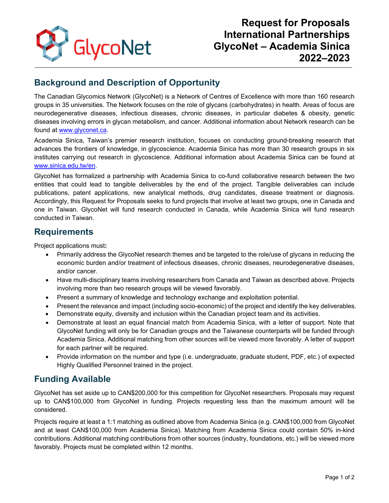

# **Background and Description of Opportunity**

The Canadian Glycomics Network (GlycoNet) is a Network of Centres of Excellence with more than 160 research groups in 35 universities. The Network focuses on the role of glycans (carbohydrates) in health. Areas of focus are neurodegenerative diseases, infectious diseases, chronic diseases, in particular diabetes & obesity, genetic diseases involving errors in glycan metabolism, and cancer. Additional information about Network research can be found at [www.glyconet.ca.](http://www.glyconet.ca/)

Academia Sinica, Taiwan's premier research institution, focuses on conducting ground-breaking research that advances the frontiers of knowledge, in glycoscience. Academia Sinica has more than 30 research groups in six institutes carrying out research in glycoscience. Additional information about Academia Sinica can be found at [www.sinica.edu.tw/en.](https://www.sinica.edu.tw/en)

GlycoNet has formalized a partnership with Academia Sinica to co-fund collaborative research between the two entities that could lead to tangible deliverables by the end of the project. Tangible deliverables can include publications, patent applications, new analytical methods, drug candidates, disease treatment or diagnosis. Accordingly, this Request for Proposals seeks to fund projects that involve at least two groups, one in Canada and one in Taiwan. GlycoNet will fund research conducted in Canada, while Academia Sinica will fund research conducted in Taiwan.

#### **Requirements**

Project applications must**:** 

- Primarily address the GlycoNet research themes and be targeted to the role/use of glycans in reducing the economic burden and/or treatment of infectious diseases, chronic diseases, neurodegenerative diseases, and/or cancer.
- Have multi-disciplinary teams involving researchers from Canada and Taiwan as described above. Projects involving more than two research groups will be viewed favorably.
- Present a summary of knowledge and technology exchange and exploitation potential.
- Present the relevance and impact (including socio-economic) of the project and identify the key deliverables.
- Demonstrate equity, diversity and inclusion within the Canadian project team and its activities.
- Demonstrate at least an equal financial match from Academia Sinica, with a letter of support. Note that GlycoNet funding will only be for Canadian groups and the Taiwanese counterparts will be funded through Academia Sinica. Additional matching from other sources will be viewed more favorably. A letter of support for each partner will be required.
- Provide information on the number and type (i.e. undergraduate, graduate student, PDF, etc.) of expected Highly Qualified Personnel trained in the project.

### **Funding Available**

GlycoNet has set aside up to CAN\$200,000 for this competition for GlycoNet researchers. Proposals may request up to CAN\$100,000 from GlycoNet in funding. Projects requesting less than the maximum amount will be considered.

Projects require at least a 1:1 matching as outlined above from Academia Sinica (e.g. CAN\$100,000 from GlycoNet and at least CAN\$100,000 from Academia Sinica). Matching from Academia Sinica could contain 50% in-kind contributions. Additional matching contributions from other sources (industry, foundations, etc.) will be viewed more favorably. Projects must be completed within 12 months.